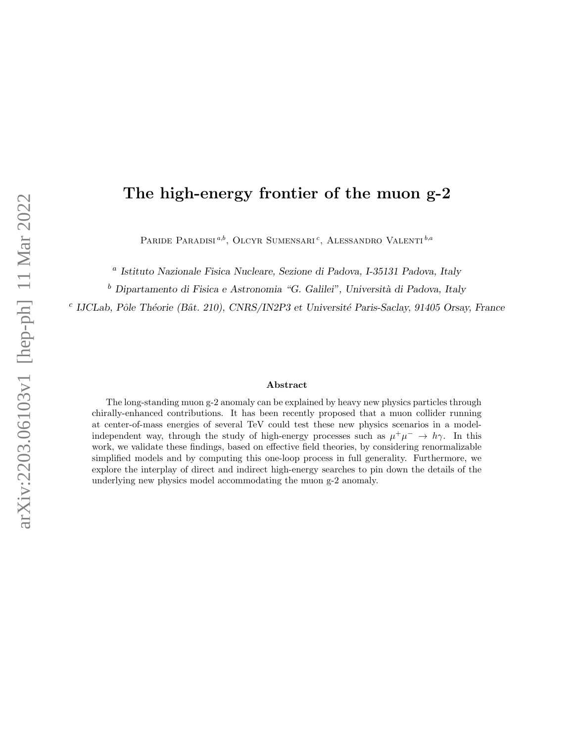# The high-energy frontier of the muon g-2

PARIDE PARADISI<sup>*a,b*</sup>, OLCYR SUMENSARI<sup>c</sup>, ALESSANDRO VALENTI<sup>*b,a*</sup>

<sup>a</sup> Istituto Nazionale Fisica Nucleare, Sezione di Padova, I-35131 Padova, Italy

 $^{\rm b}$  Dipartamento di Fisica e Astronomia "G. Galilei", Università di Padova, Italy

<sup>c</sup> IJCLab, Pôle Théorie (Bât. 210), CNRS/IN2P3 et Université Paris-Saclay, 91405 Orsay, France

#### Abstract

The long-standing muon g-2 anomaly can be explained by heavy new physics particles through chirally-enhanced contributions. It has been recently proposed that a muon collider running at center-of-mass energies of several TeV could test these new physics scenarios in a modelindependent way, through the study of high-energy processes such as  $\mu^+\mu^- \to h\gamma$ . In this work, we validate these findings, based on effective field theories, by considering renormalizable simplified models and by computing this one-loop process in full generality. Furthermore, we explore the interplay of direct and indirect high-energy searches to pin down the details of the underlying new physics model accommodating the muon g-2 anomaly.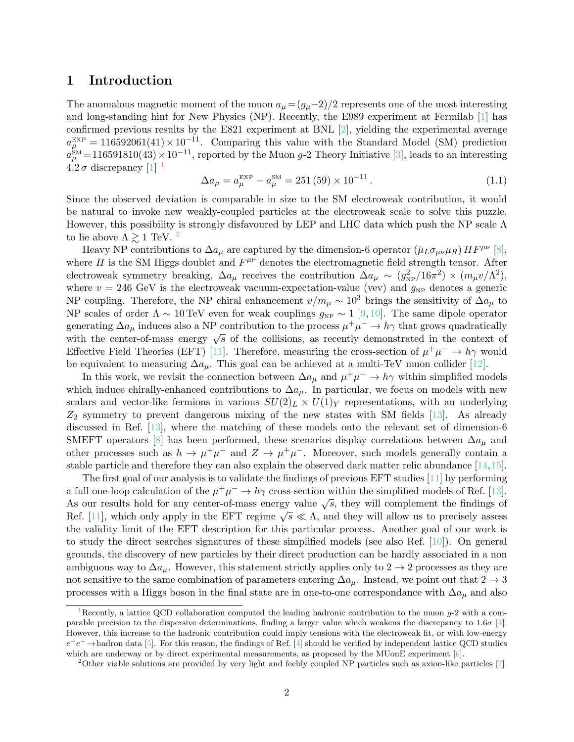## 1 Introduction

The anomalous magnetic moment of the muon  $a_{\mu} = (g_{\mu}-2)/2$  represents one of the most interesting and long-standing hint for New Physics (NP). Recently, the E989 experiment at Fermilab [\[1\]](#page-17-0) has confirmed previous results by the E821 experiment at BNL [\[2\]](#page-17-1), yielding the experimental average  $a_{\mu}^{\text{EXP}} = 116592061(41) \times 10^{-11}$ . Comparing this value with the Standard Model (SM) prediction  $a_{\mu}^{\text{SM}}$ =116591810(43) × 10<sup>-11</sup>, reported by the Muon g-2 Theory Initiative [\[3\]](#page-17-2), leads to an interesting  $4.2 \sigma$  discrepancy [\[1\]](#page-17-0)  $^1$  $^1$ 

$$
\Delta a_{\mu} = a_{\mu}^{\text{EXP}} - a_{\mu}^{\text{SM}} = 251 (59) \times 10^{-11} . \qquad (1.1)
$$

Since the observed deviation is comparable in size to the SM electroweak contribution, it would be natural to invoke new weakly-coupled particles at the electroweak scale to solve this puzzle. However, this possibility is strongly disfavoured by LEP and LHC data which push the NP scale  $\Lambda$ to lie above  $\Lambda \gtrsim 1$  TeV. <sup>[2](#page-1-1)</sup>

Heavy NP contributions to  $\Delta a_\mu$  are captured by the dimension-6 operator  $(\bar{\mu}_L \sigma_{\mu\nu} \mu_R) H F^{\mu\nu}$  [\[8\]](#page-18-0), where H is the SM Higgs doublet and  $F^{\mu\nu}$  denotes the electromagnetic field strength tensor. After electroweak symmetry breaking,  $\Delta a_\mu$  receives the contribution  $\Delta a_\mu \sim (g_{NP}^2/16\pi^2) \times (m_\mu v/\Lambda^2)$ , where  $v = 246 \text{ GeV}$  is the electroweak vacuum-expectation-value (vev) and  $g_{NP}$  denotes a generic NP coupling. Therefore, the NP chiral enhancement  $v/m_\mu \sim 10^3$  brings the sensitivity of  $\Delta a_\mu$  to NP scales of order  $\Lambda \sim 10 \text{ TeV}$  even for weak couplings  $g_{\text{NP}} \sim 1$  [\[9,](#page-18-1) [10\]](#page-18-2). The same dipole operator generating  $\Delta a_{\mu}$  induces also a NP contribution to the process  $\mu^+\mu^- \to h\gamma$  that grows quadratically generating  $\Delta a_{\mu}$  induces also a NT contribution to the process  $\mu^{\mu} \rightarrow \mu^{\mu}$  that grows quadratically with the center-of-mass energy  $\sqrt{s}$  of the collisions, as recently demonstrated in the context of Effective Field Theories (EFT) [\[11\]](#page-18-3). Therefore, measuring the cross-section of  $\mu^+\mu^- \to h\gamma$  would be equivalent to measuring  $\Delta a_{\mu}$ . This goal can be achieved at a multi-TeV muon collider [\[12\]](#page-18-4).

In this work, we revisit the connection between  $\Delta a_{\mu}$  and  $\mu^+\mu^- \to h\gamma$  within simplified models which induce chirally-enhanced contributions to  $\Delta a_{\mu}$ . In particular, we focus on models with new scalars and vector-like fermions in various  $SU(2)_L \times U(1)_Y$  representations, with an underlying  $Z_2$  symmetry to prevent dangerous mixing of the new states with SM fields [\[13\]](#page-18-5). As already discussed in Ref. [\[13\]](#page-18-5), where the matching of these models onto the relevant set of dimension-6 SMEFT operators [\[8\]](#page-18-0) has been performed, these scenarios display correlations between  $\Delta a_\mu$  and other processes such as  $h \to \mu^+\mu^-$  and  $Z \to \mu^+\mu^-$ . Moreover, such models generally contain a stable particle and therefore they can also explain the observed dark matter relic abundance [\[14,](#page-18-6)[15\]](#page-18-7).

The first goal of our analysis is to validate the findings of previous EFT studies [\[11\]](#page-18-3) by performing a full one-loop calculation of the  $\mu^+\mu^- \to h\gamma$  cross-section within the simplified models of Ref. [\[13\]](#page-18-5). As our results hold for any center-of-mass energy value  $\sqrt{s}$ , they will complement the findings of As our results hold for any center-of-mass energy value  $\sqrt{s}$ , they will complement the findings of Ref. [\[11\]](#page-18-3), which only apply in the EFT regime  $\sqrt{s} \ll \Lambda$ , and they will allow us to precisely assess the validity limit of the EFT description for this particular process. Another goal of our work is to study the direct searches signatures of these simplified models (see also Ref. [\[10\]](#page-18-2)). On general grounds, the discovery of new particles by their direct production can be hardly associated in a non ambiguous way to  $\Delta a_{\mu}$ . However, this statement strictly applies only to 2  $\rightarrow$  2 processes as they are not sensitive to the same combination of parameters entering  $\Delta a_{\mu}$ . Instead, we point out that  $2 \rightarrow 3$ processes with a Higgs boson in the final state are in one-to-one correspondance with  $\Delta a_{\mu}$  and also

<span id="page-1-0"></span><sup>&</sup>lt;sup>1</sup>Recently, a lattice QCD collaboration computed the leading hadronic contribution to the muon  $g$ -2 with a comparable precision to the dispersive determinations, finding a larger value which weakens the discrepancy to  $1.6\sigma$  [\[4\]](#page-17-3). However, this increase to the hadronic contribution could imply tensions with the electroweak fit, or with low-energy  $e^+e^- \to$ hadron data [\[5\]](#page-17-4). For this reason, the findings of Ref. [\[4\]](#page-17-3) should be verified by independent lattice QCD studies which are underway or by direct experimental measurements, as proposed by the MUonE experiment [\[6\]](#page-18-8).

<span id="page-1-1"></span><sup>2</sup>Other viable solutions are provided by very light and feebly coupled NP particles such as axion-like particles [\[7\]](#page-18-9).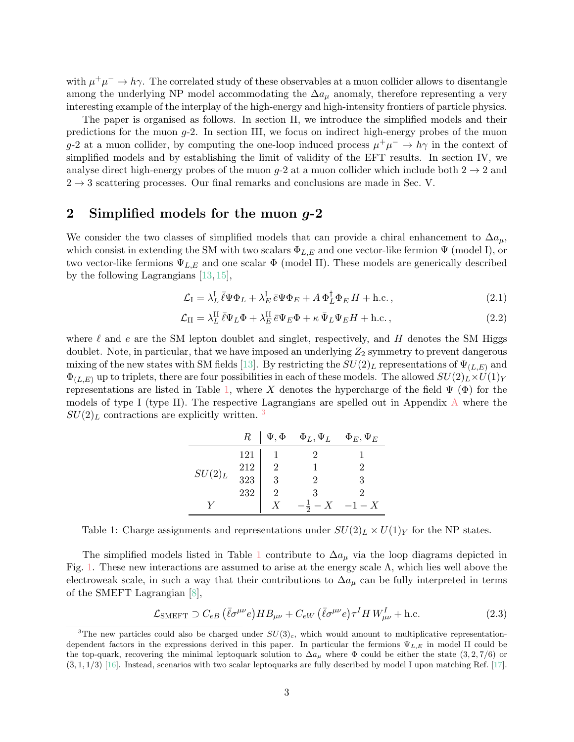with  $\mu^+\mu^- \to h\gamma$ . The correlated study of these observables at a muon collider allows to disentangle among the underlying NP model accommodating the  $\Delta a_{\mu}$  anomaly, therefore representing a very interesting example of the interplay of the high-energy and high-intensity frontiers of particle physics.

The paper is organised as follows. In section II, we introduce the simplified models and their predictions for the muon  $g$ -2. In section III, we focus on indirect high-energy probes of the muon g-2 at a muon collider, by computing the one-loop induced process  $\mu^+\mu^- \to h\gamma$  in the context of simplified models and by establishing the limit of validity of the EFT results. In section IV, we analyse direct high-energy probes of the muon g-2 at a muon collider which include both  $2 \rightarrow 2$  and  $2 \rightarrow 3$  scattering processes. Our final remarks and conclusions are made in Sec. V.

# 2 Simplified models for the muon g-2

We consider the two classes of simplified models that can provide a chiral enhancement to  $\Delta a_{\mu}$ , which consist in extending the SM with two scalars  $\Phi_{L,E}$  and one vector-like fermion  $\Psi$  (model I), or two vector-like fermions  $\Psi_{L,E}$  and one scalar  $\Phi$  (model II). These models are generically described by the following Lagrangians [\[13,](#page-18-5) [15\]](#page-18-7),

<span id="page-2-2"></span>
$$
\mathcal{L}_{\rm I} = \lambda_L^{\rm I} \,\bar{\ell} \Psi \Phi_L + \lambda_E^{\rm I} \,\bar{e} \Psi \Phi_E + A \,\Phi_L^{\dagger} \Phi_E \, H + \text{h.c.}\,,\tag{2.1}
$$

$$
\mathcal{L}_{II} = \lambda_L^{II} \bar{\ell} \Psi_L \Phi + \lambda_E^{II} \bar{\epsilon} \Psi_E \Phi + \kappa \bar{\Psi}_L \Psi_E H + \text{h.c.},\tag{2.2}
$$

<span id="page-2-0"></span>where  $\ell$  and e are the SM lepton doublet and singlet, respectively, and H denotes the SM Higgs doublet. Note, in particular, that we have imposed an underlying  $Z_2$  symmetry to prevent dangerous mixing of the new states with SM fields [\[13\]](#page-18-5). By restricting the  $SU(2)_L$  representations of  $\Psi_{(L,E)}$  and  $\Phi_{(L,E)}$  up to triplets, there are four possibilities in each of these models. The allowed  $SU(2)_L \times U(1)_Y$ representations are listed in Table [1,](#page-2-0) where X denotes the hypercharge of the field  $\Psi$  ( $\Phi$ ) for the models of type I (type II). The respective Lagrangians are spelled out in [A](#page-14-0)ppendix  $\Lambda$  where the  $SU(2)_L$  contractions are explicitly written.<sup>[3](#page-2-1)</sup>

|           | $R_{\parallel}$ | $\Psi, \Phi$   | $\Phi_L, \Psi_L$ | $\Phi_E, \Psi_E$ |
|-----------|-----------------|----------------|------------------|------------------|
| $SU(2)_L$ | 121             |                |                  |                  |
|           | 212             | $\overline{2}$ |                  |                  |
|           | 323             | Q              |                  |                  |
|           | 232             | 2              |                  | 9                |
|           |                 |                | $-\bar{5}$       | $-1-X$           |

Table 1: Charge assignments and representations under  $SU(2)_L \times U(1)_Y$  for the NP states.

The simplified models listed in Table [1](#page-2-0) contribute to  $\Delta a_{\mu}$  via the loop diagrams depicted in Fig. [1.](#page-3-0) These new interactions are assumed to arise at the energy scale  $\Lambda$ , which lies well above the electroweak scale, in such a way that their contributions to  $\Delta a_\mu$  can be fully interpreted in terms of the SMEFT Lagrangian [\[8\]](#page-18-0),

<span id="page-2-3"></span>
$$
\mathcal{L}_{\text{SMEFT}} \supset C_{eB} \left( \bar{\ell} \sigma^{\mu \nu} e \right) H B_{\mu \nu} + C_{eW} \left( \bar{\ell} \sigma^{\mu \nu} e \right) \tau^I H W^I_{\mu \nu} + \text{h.c.}
$$
\n(2.3)

<span id="page-2-1"></span><sup>&</sup>lt;sup>3</sup>The new particles could also be charged under  $SU(3)_c$ , which would amount to multiplicative representationdependent factors in the expressions derived in this paper. In particular the fermions  $\Psi_{L,E}$  in model II could be the top-quark, recovering the minimal leptoquark solution to  $\Delta a_\mu$  where  $\Phi$  could be either the state (3,2,7/6) or  $(\bar{3}, 1, 1/3)$  [\[16\]](#page-18-10). Instead, scenarios with two scalar leptoquarks are fully described by model I upon matching Ref. [\[17\]](#page-18-11).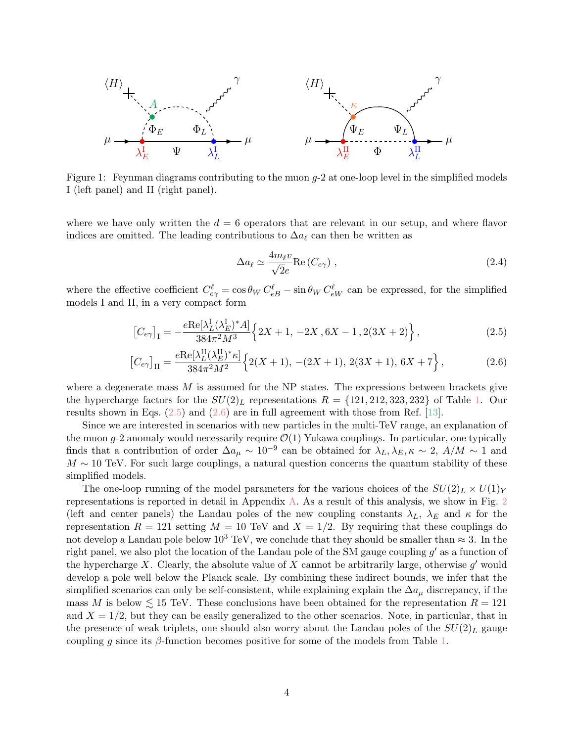<span id="page-3-0"></span>

Figure 1: Feynman diagrams contributing to the muon  $g$ -2 at one-loop level in the simplified models I (left panel) and II (right panel).

where we have only written the  $d = 6$  operators that are relevant in our setup, and where flavor indices are omitted. The leading contributions to  $\Delta a_\ell$  can then be written as

<span id="page-3-2"></span><span id="page-3-1"></span>
$$
\Delta a_{\ell} \simeq \frac{4m_{\ell}v}{\sqrt{2}e} \text{Re}\left(C_{e\gamma}\right) ,\qquad (2.4)
$$

where the effective coefficient  $C_{e\gamma}^{\ell} = \cos \theta_W C_{eB}^{\ell} - \sin \theta_W C_{eW}^{\ell}$  can be expressed, for the simplified models I and II, in a very compact form

$$
\left[C_{e\gamma}\right]_{I} = -\frac{e\text{Re}[\lambda_{L}^{I}(\lambda_{E}^{I})^{*}A]}{384\pi^{2}M^{3}} \left\{2X+1, -2X, 6X-1, 2(3X+2)\right\},\tag{2.5}
$$

$$
\left[C_{e\gamma}\right]_{\text{II}} = \frac{e \text{Re}[\lambda_L^{\text{II}}(\lambda_E^{\text{II}})^* \kappa]}{384 \pi^2 M^2} \left\{2(X+1), -(2X+1), 2(3X+1), 6X+7\right\},\tag{2.6}
$$

where a degenerate mass  $M$  is assumed for the NP states. The expressions between brackets give the hypercharge factors for the  $SU(2)_L$  representations  $R = \{121, 212, 323, 232\}$  of Table [1.](#page-2-0) Our results shown in Eqs.  $(2.5)$  and  $(2.6)$  are in full agreement with those from Ref. [\[13\]](#page-18-5).

Since we are interested in scenarios with new particles in the multi-TeV range, an explanation of the muon  $g-2$  anomaly would necessarily require  $\mathcal{O}(1)$  Yukawa couplings. In particular, one typically finds that a contribution of order  $\Delta a_{\mu} \sim 10^{-9}$  can be obtained for  $\lambda_L, \lambda_E, \kappa \sim 2$ ,  $A/M \sim 1$  and  $M \sim 10$  TeV. For such large couplings, a natural question concerns the quantum stability of these simplified models.

The one-loop running of the model parameters for the various choices of the  $SU(2)_L \times U(1)_Y$ representations is reported in detail in Appendix [A.](#page-14-0) As a result of this analysis, we show in Fig. [2](#page-4-0) (left and center panels) the Landau poles of the new coupling constants  $\lambda_L$ ,  $\lambda_E$  and  $\kappa$  for the representation  $R = 121$  setting  $M = 10$  TeV and  $X = 1/2$ . By requiring that these couplings do not develop a Landau pole below  $10^3$  TeV, we conclude that they should be smaller than  $\approx 3$ . In the right panel, we also plot the location of the Landau pole of the SM gauge coupling  $g'$  as a function of the hypercharge X. Clearly, the absolute value of X cannot be arbitrarily large, otherwise  $g'$  would develop a pole well below the Planck scale. By combining these indirect bounds, we infer that the simplified scenarios can only be self-consistent, while explaining explain the  $\Delta a_{\mu}$  discrepancy, if the mass M is below  $\leq 15$  TeV. These conclusions have been obtained for the representation  $R = 121$ and  $X = 1/2$ , but they can be easily generalized to the other scenarios. Note, in particular, that in the presence of weak triplets, one should also worry about the Landau poles of the  $SU(2)_L$  gauge coupling g since its  $\beta$ -function becomes positive for some of the models from Table [1.](#page-2-0)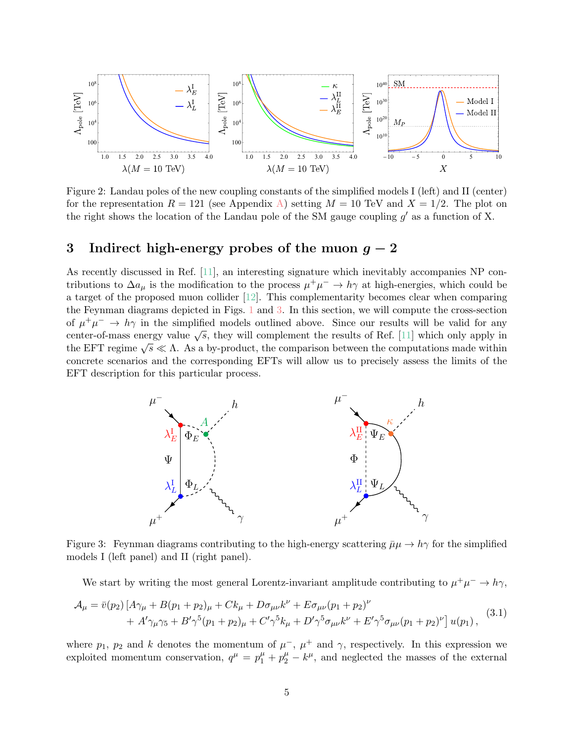<span id="page-4-0"></span>

Figure 2: Landau poles of the new coupling constants of the simplified models I (left) and II (center) for the representation  $R = 121$  (see Appendix [A\)](#page-14-0) setting  $M = 10$  TeV and  $X = 1/2$ . The plot on the right shows the location of the Landau pole of the SM gauge coupling  $g'$  as a function of X.

# 3 Indirect high-energy probes of the muon  $g - 2$

As recently discussed in Ref. [\[11\]](#page-18-3), an interesting signature which inevitably accompanies NP contributions to  $\Delta a_{\mu}$  is the modification to the process  $\mu^+\mu^- \to h\gamma$  at high-energies, which could be a target of the proposed muon collider [\[12\]](#page-18-4). This complementarity becomes clear when comparing the Feynman diagrams depicted in Figs. [1](#page-3-0) and [3.](#page-4-1) In this section, we will compute the cross-section of  $\mu^+\mu^ \rightarrow h\gamma$  in the simplified models outlined above. Since our results will be valid for any center-of-mass energy value  $\sqrt{s}$ , they will complement the results of Ref. [\[11\]](#page-18-3) which only apply in the EFT regime  $\sqrt{s} \ll \Lambda$ . As a by-product, the comparison between the computations made within concrete scenarios and the corresponding EFTs will allow us to precisely assess the limits of the EFT description for this particular process.

<span id="page-4-1"></span>

Figure 3: Feynman diagrams contributing to the high-energy scattering  $\bar{\mu}\mu \to h\gamma$  for the simplified models I (left panel) and II (right panel).

<span id="page-4-2"></span>We start by writing the most general Lorentz-invariant amplitude contributing to  $\mu^+\mu^- \to h\gamma$ ,

$$
\mathcal{A}_{\mu} = \bar{v}(p_2) \left[ A\gamma_{\mu} + B(p_1 + p_2)_{\mu} + Ck_{\mu} + D\sigma_{\mu\nu}k^{\nu} + E\sigma_{\mu\nu}(p_1 + p_2)^{\nu} \right. \\
 \left. + A'\gamma_{\mu}\gamma_5 + B'\gamma^5(p_1 + p_2)_{\mu} + C'\gamma^5k_{\mu} + D'\gamma^5\sigma_{\mu\nu}k^{\nu} + E'\gamma^5\sigma_{\mu\nu}(p_1 + p_2)^{\nu} \right] u(p_1),
$$
\n(3.1)

where  $p_1, p_2$  and k denotes the momentum of  $\mu^-$ ,  $\mu^+$  and  $\gamma$ , respectively. In this expression we exploited momentum conservation,  $q^{\mu} = p_1^{\mu} + p_2^{\mu} - k^{\mu}$ , and neglected the masses of the external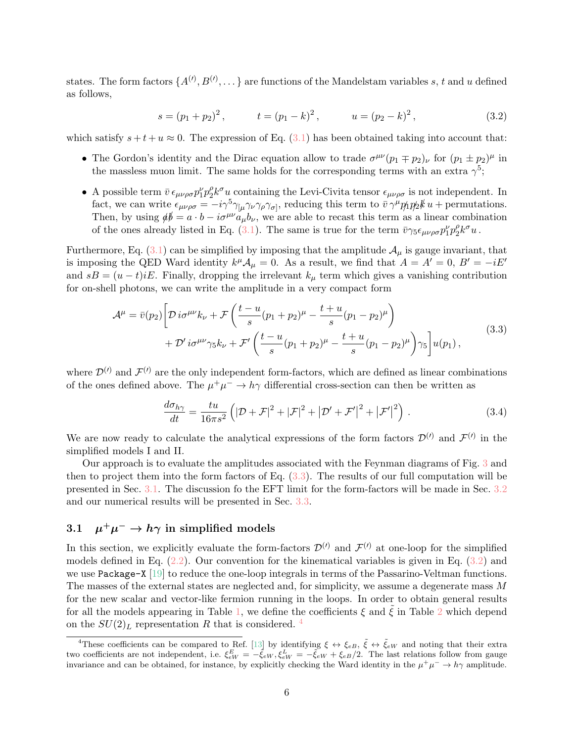states. The form factors  $\{A^{(l)}, B^{(l)}, \dots\}$  are functions of the Mandelstam variables s, t and u defined as follows,

<span id="page-5-2"></span>
$$
s = (p_1 + p_2)^2
$$
,  $t = (p_1 - k)^2$ ,  $u = (p_2 - k)^2$ , (3.2)

which satisfy  $s + t + u \approx 0$ . The expression of Eq. [\(3.1\)](#page-4-2) has been obtained taking into account that:

- The Gordon's identity and the Dirac equation allow to trade  $\sigma^{\mu\nu}(p_1 \mp p_2)_{\nu}$  for  $(p_1 \pm p_2)^{\mu}$  in the massless muon limit. The same holds for the corresponding terms with an extra  $\gamma^5$ ;
- A possible term  $\bar{v} \epsilon_{\mu\nu\rho\sigma} p_1^{\nu} p_2^{\rho}$  $\ell_2^{\rho} k^{\sigma} u$  containing the Levi-Civita tensor  $\epsilon_{\mu\nu\rho\sigma}$  is not independent. In fact, we can write  $\epsilon_{\mu\nu\rho\sigma} = -i\gamma^5 \gamma_{\mu} \gamma_{\nu} \gamma_{\rho} \gamma_{\sigma}$ , reducing this term to  $\bar{v} \gamma^{\mu} p_1 p_2 k u +$  permutations. Then, by using  $\phi = a \cdot b - i\sigma^{\mu\nu} a_{\mu} b_{\nu}$ , we are able to recast this term as a linear combination of the ones already listed in Eq. [\(3.1\)](#page-4-2). The same is true for the term  $\bar{v}\gamma_5\epsilon_{\mu\nu\rho\sigma}p_1^{\nu}p_2^{\rho}$  ${}_{2}^{\rho}k^{\sigma}u$ .

Furthermore, Eq.  $(3.1)$  can be simplified by imposing that the amplitude  $\mathcal{A}_{\mu}$  is gauge invariant, that is imposing the QED Ward identity  $k^{\mu}A_{\mu} = 0$ . As a result, we find that  $A = A' = 0$ ,  $B' = -iE'$ and  $sB = (u - t)iE$ . Finally, dropping the irrelevant  $k_{\mu}$  term which gives a vanishing contribution for on-shell photons, we can write the amplitude in a very compact form

$$
\mathcal{A}^{\mu} = \bar{v}(p_2) \left[ \mathcal{D} i \sigma^{\mu\nu} k_{\nu} + \mathcal{F} \left( \frac{t - u}{s} (p_1 + p_2)^{\mu} - \frac{t + u}{s} (p_1 - p_2)^{\mu} \right) + \mathcal{D}^{\prime} i \sigma^{\mu\nu} \gamma_5 k_{\nu} + \mathcal{F}^{\prime} \left( \frac{t - u}{s} (p_1 + p_2)^{\mu} - \frac{t + u}{s} (p_1 - p_2)^{\mu} \right) \gamma_5 \right] u(p_1),
$$
\n(3.3)

where  $\mathcal{D}^{(\prime)}$  and  $\mathcal{F}^{(\prime)}$  are the only independent form-factors, which are defined as linear combinations of the ones defined above. The  $\mu^+\mu^- \to h\gamma$  differential cross-section can then be written as

<span id="page-5-0"></span>
$$
\frac{d\sigma_{h\gamma}}{dt} = \frac{tu}{16\pi s^2} \left( |\mathcal{D} + \mathcal{F}|^2 + |\mathcal{F}|^2 + |\mathcal{D}' + \mathcal{F}'|^2 + |\mathcal{F}'|^2 \right).
$$
\n(3.4)

We are now ready to calculate the analytical expressions of the form factors  $\mathcal{D}^{(l)}$  and  $\mathcal{F}^{(l)}$  in the simplified models I and II.

Our approach is to evaluate the amplitudes associated with the Feynman diagrams of Fig. [3](#page-4-1) and then to project them into the form factors of Eq. [\(3.3\)](#page-5-0). The results of our full computation will be presented in Sec. [3.1.](#page-5-1) The discussion fo the EFT limit for the form-factors will be made in Sec. [3.2](#page-7-0) and our numerical results will be presented in Sec. [3.3.](#page-8-0)

#### <span id="page-5-1"></span> $3.1$  $^+\mu^-\rightarrow h\gamma$  in simplified models

In this section, we explicitly evaluate the form-factors  $\mathcal{D}^{(l)}$  and  $\mathcal{F}^{(l)}$  at one-loop for the simplified models defined in Eq.  $(2.2)$ . Our convention for the kinematical variables is given in Eq.  $(3.2)$  and we use Package-X [\[19\]](#page-18-12) to reduce the one-loop integrals in terms of the Passarino-Veltman functions. The masses of the external states are neglected and, for simplicity, we assume a degenerate mass M for the new scalar and vector-like fermion running in the loops. In order to obtain general results for all the models appearing in Table [1,](#page-2-0) we define the coefficients  $\xi$  and  $\xi$  in Table [2](#page-6-0) which depend on the  $SU(2)<sub>L</sub>$  representation R that is considered. <sup>[4](#page-5-3)</sup>

<span id="page-5-3"></span><sup>&</sup>lt;sup>4</sup>These coefficients can be compared to Ref. [\[13\]](#page-18-5) by identifying  $\xi \leftrightarrow \xi_{eB}, \tilde{\xi} \leftrightarrow \tilde{\xi}_{eW}$  and noting that their extra two coefficients are not independent, i.e.  $\xi_{eW}^E = -\tilde{\xi}_{eW}, \xi_{eW}^L = -\tilde{\xi}_{eW} + \xi_{eB}/2$ . The last relations follow from gauge invariance and can be obtained, for instance, by explicitly checking the Ward identity in the  $\mu^+\mu^- \to h\gamma$  amplitude.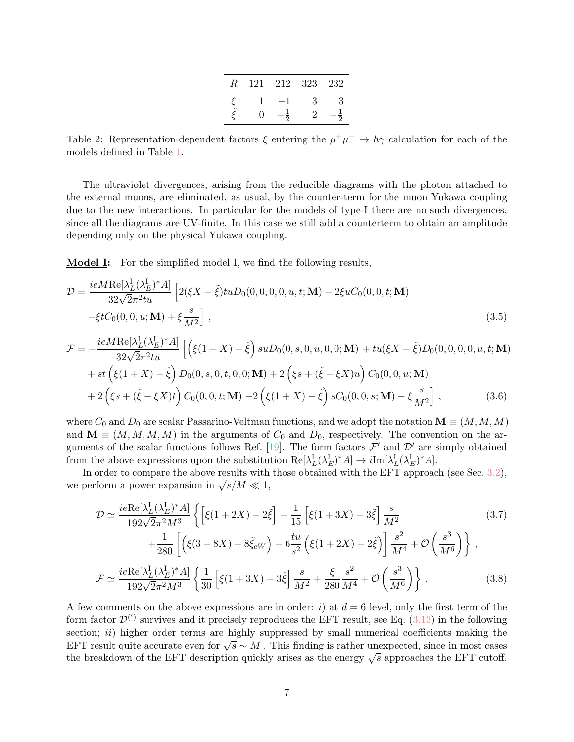| R | 121 | 212 | 323 | -232 |
|---|-----|-----|-----|------|
|   |     |     |     | 3    |
|   |     |     |     |      |

<span id="page-6-0"></span>Table 2: Representation-dependent factors  $\xi$  entering the  $\mu^+\mu^- \to h\gamma$  calculation for each of the models defined in Table [1.](#page-2-0)

The ultraviolet divergences, arising from the reducible diagrams with the photon attached to the external muons, are eliminated, as usual, by the counter-term for the muon Yukawa coupling due to the new interactions. In particular for the models of type-I there are no such divergences, since all the diagrams are UV-finite. In this case we still add a counterterm to obtain an amplitude depending only on the physical Yukawa coupling.

Model I: For the simplified model I, we find the following results,

$$
\mathcal{D} = \frac{ieM \text{Re}[\lambda_L^{\text{I}} (\lambda_E^{\text{I}})^* A]}{32\sqrt{2}\pi^2 tu} \left[ 2(\xi X - \tilde{\xi})tu D_0(0, 0, 0, 0, u, t; \mathbf{M}) - 2\xi u C_0(0, 0, t; \mathbf{M}) - \xi t C_0(0, 0, u; \mathbf{M}) + \xi \frac{s}{M^2} \right],
$$
\n(3.5)

$$
\mathcal{F} = -\frac{ieM \text{Re}[\lambda_L^{\text{I}} (\lambda_E^{\text{I}})^* A]}{32\sqrt{2}\pi^2 tu} \left[ \left( \xi(1+X) - \tilde{\xi} \right) suD_0(0, s, 0, u, 0, 0; \mathbf{M}) + tu(\xi X - \tilde{\xi}) D_0(0, 0, 0, 0, u, t; \mathbf{M}) \right. \\ \left. + st \left( \xi(1+X) - \tilde{\xi} \right) D_0(0, s, 0, t, 0, 0; \mathbf{M}) + 2 \left( \xi s + (\tilde{\xi} - \xi X) u \right) C_0(0, 0, u; \mathbf{M}) \right. \\ \left. + 2 \left( \xi s + (\tilde{\xi} - \xi X)t \right) C_0(0, 0, t; \mathbf{M}) - 2 \left( \xi(1+X) - \tilde{\xi} \right) sC_0(0, 0, s; \mathbf{M}) - \xi \frac{s}{M^2} \right], \tag{3.6}
$$

where  $C_0$  and  $D_0$  are scalar Passarino-Veltman functions, and we adopt the notation  $\mathbf{M} \equiv (M, M, M)$ and  $\mathbf{M} \equiv (M, M, M, M)$  in the arguments of  $C_0$  and  $D_0$ , respectively. The convention on the ar-guments of the scalar functions follows Ref. [\[19\]](#page-18-12). The form factors  $\mathcal{F}'$  and  $\mathcal{D}'$  are simply obtained from the above expressions upon the substitution  $\text{Re}[\lambda_L^{\text{I}}(\lambda_E^{\text{I}})^*A] \to i\text{Im}[\lambda_L^{\text{I}}(\lambda_E^{\text{I}})^*A]$ .

In order to compare the above results with those obtained with the EFT approach (see Sec. [3.2\)](#page-7-0), m order to compare the above results with<br>we perform a power expansion in  $\sqrt{s}/M \ll 1$ ,

$$
\mathcal{D} \simeq \frac{ie \text{Re}[\lambda_L^{\text{I}} (\lambda_E^{\text{I}})^* A]}{192 \sqrt{2} \pi^2 M^3} \left\{ \left[ \xi (1 + 2X) - 2 \tilde{\xi} \right] - \frac{1}{15} \left[ \xi (1 + 3X) - 3 \tilde{\xi} \right] \frac{s}{M^2} + \frac{1}{280} \left[ \left( \xi (3 + 8X) - 8 \tilde{\xi}_{eW} \right) - 6 \frac{tu}{s^2} \left( \xi (1 + 2X) - 2 \tilde{\xi} \right) \right] \frac{s^2}{M^4} + \mathcal{O} \left( \frac{s^3}{M^6} \right) \right\},
$$
\n(3.7)

$$
\mathcal{F} \simeq \frac{ie \text{Re}[\lambda_L^{\text{I}} (\lambda_E^{\text{I}})^* A]}{192\sqrt{2}\pi^2 M^3} \left\{ \frac{1}{30} \left[ \xi (1+3X) - 3\tilde{\xi} \right] \frac{s}{M^2} + \frac{\xi}{280} \frac{s^2}{M^4} + \mathcal{O}\left(\frac{s^3}{M^6}\right) \right\}.
$$
 (3.8)

A few comments on the above expressions are in order: i) at  $d = 6$  level, only the first term of the form factor  $\mathcal{D}^{(')}$  survives and it precisely reproduces the EFT result, see Eq. [\(3.13\)](#page-7-1) in the following section;  $ii)$  higher order terms are highly suppressed by small numerical coefficients making the EFT result quite accurate even for  $\sqrt{s} \sim M$ . This finding is rather unexpected, since in most cases the breakdown of the EFT description quickly arises as the energy  $\sqrt{s}$  approaches the EFT cutoff.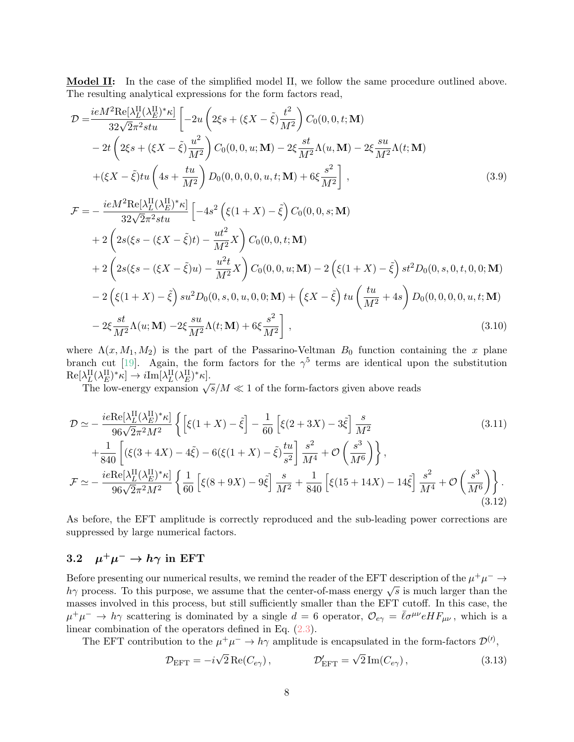Model II: In the case of the simplified model II, we follow the same procedure outlined above. The resulting analytical expressions for the form factors read,

$$
\mathcal{D} = \frac{ieM^2 \text{Re}[\lambda_L^{\text{II}}(\lambda_E^{\text{II}})^* \kappa]}{32\sqrt{2}\pi^2 stu} \left[ -2u \left( 2\xi s + (\xi X - \tilde{\xi}) \frac{t^2}{M^2} \right) C_0(0, 0, t; \mathbf{M}) - 2t \left( 2\xi s + (\xi X - \tilde{\xi}) \frac{u^2}{M^2} \right) C_0(0, 0, u; \mathbf{M}) - 2\xi \frac{st}{M^2} \Lambda(u, \mathbf{M}) - 2\xi \frac{su}{M^2} \Lambda(t; \mathbf{M}) + (\xi X - \tilde{\xi})tu \left( 4s + \frac{tu}{M^2} \right) D_0(0, 0, 0, 0, u, t; \mathbf{M}) + 6\xi \frac{s^2}{M^2} \right],
$$
\n(3.9)

$$
\mathcal{F} = -\frac{ieM^2 \text{Re}[\lambda_L^{\text{II}}(\lambda_E^{\text{II}})^* \kappa]}{32\sqrt{2}\pi^2 stu} \left[ -4s^2 \left( \xi(1+X) - \tilde{\xi} \right) C_0(0, 0, s; \mathbf{M}) \right. \n+ 2 \left( 2s(\xi s - (\xi X - \tilde{\xi})t) - \frac{ut^2}{M^2} X \right) C_0(0, 0, t; \mathbf{M}) \n+ 2 \left( 2s(\xi s - (\xi X - \tilde{\xi})u) - \frac{u^2 t}{M^2} X \right) C_0(0, 0, u; \mathbf{M}) - 2 \left( \xi(1+X) - \tilde{\xi} \right) st^2 D_0(0, s, 0, t, 0, 0; \mathbf{M}) \n- 2 \left( \xi(1+X) - \tilde{\xi} \right) su^2 D_0(0, s, 0, u, 0, 0; \mathbf{M}) + \left( \xi X - \tilde{\xi} \right) tu \left( \frac{tu}{M^2} + 4s \right) D_0(0, 0, 0, 0, u, t; \mathbf{M}) \n- 2\xi \frac{st}{M^2} \Lambda(u; \mathbf{M}) - 2\xi \frac{su}{M^2} \Lambda(t; \mathbf{M}) + 6\xi \frac{s^2}{M^2} \right],
$$
\n(3.10)

where  $\Lambda(x, M_1, M_2)$  is the part of the Passarino-Veltman  $B_0$  function containing the x plane branch cut [\[19\]](#page-18-12). Again, the form factors for the  $\gamma^5$  terms are identical upon the substitution  $\text{Re}[\lambda_L^{\text{II}}(\lambda_E^{\text{II}})^* \kappa] \rightarrow i \text{Im}[\lambda_L^{\text{II}}(\lambda_E^{\text{II}})^* \kappa].$ 

 $\alpha_L(\alpha_E)$   $\alpha_l \rightarrow i \text{Im}[\alpha_L(\alpha_E) \alpha_l]$ .<br>The low-energy expansion  $\sqrt{s}/M \ll 1$  of the form-factors given above reads

$$
\mathcal{D} \simeq -\frac{ie \text{Re}[\lambda_L^{\text{II}}(\lambda_E^{\text{II}})^* \kappa]}{96\sqrt{2}\pi^2 M^2} \left\{ \left[ \xi(1+X) - \tilde{\xi} \right] - \frac{1}{60} \left[ \xi(2+3X) - 3\tilde{\xi} \right] \frac{s}{M^2} \right\}
$$
\n
$$
+ \frac{1}{840} \left[ \left( \xi(3+4X) - 4\tilde{\xi} \right) - 6\left( \xi(1+X) - \tilde{\xi} \right) \frac{tu}{s^2} \right] \frac{s^2}{M^4} + \mathcal{O}\left(\frac{s^3}{M^6}\right) \right\},
$$
\n
$$
\mathcal{F} \simeq -\frac{ie \text{Re}[\lambda_L^{\text{II}}(\lambda_E^{\text{II}})^* \kappa]}{96\sqrt{2}\pi^2 M^2} \left\{ \frac{1}{60} \left[ \xi(8+9X) - 9\tilde{\xi} \right] \frac{s}{M^2} + \frac{1}{840} \left[ \xi(15+14X) - 14\tilde{\xi} \right] \frac{s^2}{M^4} + \mathcal{O}\left(\frac{s^3}{M^6}\right) \right\}.
$$
\n(3.12)

As before, the EFT amplitude is correctly reproduced and the sub-leading power corrections are suppressed by large numerical factors.

#### <span id="page-7-0"></span> $3.2$  $^+\mu^-\to h\gamma$  in EFT

Before presenting our numerical results, we remind the reader of the EFT description of the  $\mu^+\mu^- \to$ before presenting our numerical results, we remind the reader of the EPT description of the  $\mu^+ \mu^- \rightarrow h\gamma$  process. To this purpose, we assume that the center-of-mass energy  $\sqrt{s}$  is much larger than the masses involved in this process, but still sufficiently smaller than the EFT cutoff. In this case, the  $\mu^+\mu^ \rightarrow h\gamma$  scattering is dominated by a single  $d=6$  operator,  $\mathcal{O}_{e\gamma}=\bar{\ell}\sigma^{\mu\nu}eHF_{\mu\nu}$ , which is a linear combination of the operators defined in Eq. [\(2.3\)](#page-2-3).

The EFT contribution to the  $\mu^+\mu^- \to h\gamma$  amplitude is encapsulated in the form-factors  $\mathcal{D}^{(l)}$ ,

<span id="page-7-1"></span>
$$
\mathcal{D}_{\text{EFT}} = -i\sqrt{2} \operatorname{Re}(C_{e\gamma}), \qquad \mathcal{D}'_{\text{EFT}} = \sqrt{2} \operatorname{Im}(C_{e\gamma}), \qquad (3.13)
$$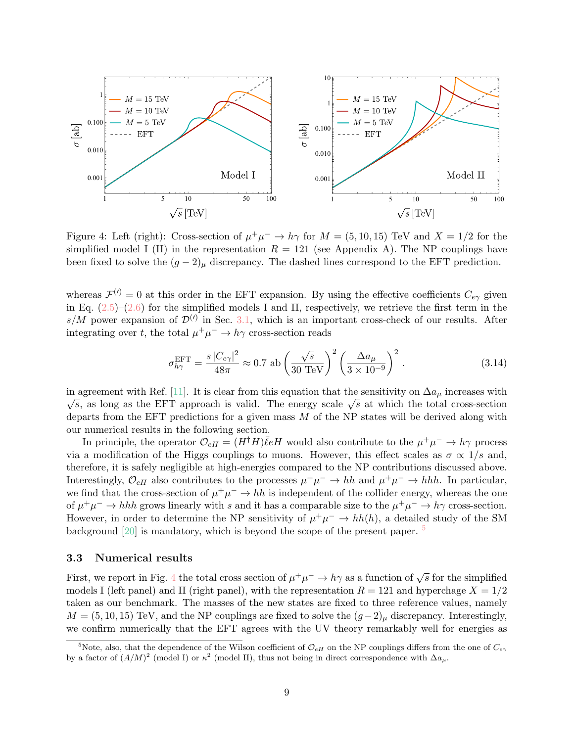<span id="page-8-2"></span>

Figure 4: Left (right): Cross-section of  $\mu^+\mu^- \to h\gamma$  for  $M = (5, 10, 15)$  TeV and  $X = 1/2$  for the simplified model I (II) in the representation  $R = 121$  (see Appendix A). The NP couplings have been fixed to solve the  $(g-2)_{\mu}$  discrepancy. The dashed lines correspond to the EFT prediction.

whereas  $\mathcal{F}^{(\prime)}=0$  at this order in the EFT expansion. By using the effective coefficients  $C_{e\gamma}$  given in Eq.  $(2.5)-(2.6)$  $(2.5)-(2.6)$  $(2.5)-(2.6)$  for the simplified models I and II, respectively, we retrieve the first term in the s/M power expansion of  $\mathcal{D}^{(l)}$  in Sec. [3.1,](#page-5-1) which is an important cross-check of our results. After integrating over t, the total  $\mu^+ \mu^- \to h\gamma$  cross-section reads

<span id="page-8-3"></span>
$$
\sigma_{h\gamma}^{\rm EFT} = \frac{s \, |C_{e\gamma}|^2}{48\pi} \approx 0.7 \text{ ab} \left(\frac{\sqrt{s}}{30 \text{ TeV}}\right)^2 \left(\frac{\Delta a_{\mu}}{3 \times 10^{-9}}\right)^2. \tag{3.14}
$$

in agreement with Ref. [\[11\]](#page-18-3). It is clear from this equation that the sensitivity on  $\Delta a_\mu$  increases with agreement with itel. [11]. It is clear from this equation that the sensitivity on  $\Delta a_{\mu}$  increases with  $\overline{s}$ , as long as the EFT approach is valid. The energy scale  $\sqrt{s}$  at which the total cross-section departs from the EFT predictions for a given mass  $M$  of the NP states will be derived along with our numerical results in the following section.

In principle, the operator  $\mathcal{O}_{eH} = (H^{\dagger}H)\overline{\ell}eH$  would also contribute to the  $\mu^+\mu^- \to h\gamma$  process via a modification of the Higgs couplings to muons. However, this effect scales as  $\sigma \propto 1/s$  and, therefore, it is safely negligible at high-energies compared to the NP contributions discussed above. Interestingly,  $\mathcal{O}_{eH}$  also contributes to the processes  $\mu^+\mu^- \to hh$  and  $\mu^+\mu^- \to hh$ . In particular, we find that the cross-section of  $\mu^+\mu^- \to hh$  is independent of the collider energy, whereas the one of  $\mu^+\mu^- \to hhh$  grows linearly with s and it has a comparable size to the  $\mu^+\mu^- \to h\gamma$  cross-section. However, in order to determine the NP sensitivity of  $\mu^+\mu^- \to hh(h)$ , a detailed study of the SM background [\[20\]](#page-18-13) is mandatory, which is beyond the scope of the present paper.  $5$ 

#### <span id="page-8-0"></span>3.3 Numerical results

First, we report in Fig. [4](#page-8-2) the total cross section of  $\mu^+\mu^- \to h\gamma$  as a function of  $\sqrt{s}$  for the simplified models I (left panel) and II (right panel), with the representation  $R = 121$  and hyperchage  $X = 1/2$ taken as our benchmark. The masses of the new states are fixed to three reference values, namely  $M = (5, 10, 15)$  TeV, and the NP couplings are fixed to solve the  $(g-2)_{\mu}$  discrepancy. Interestingly, we confirm numerically that the EFT agrees with the UV theory remarkably well for energies as

<span id="page-8-1"></span><sup>&</sup>lt;sup>5</sup>Note, also, that the dependence of the Wilson coefficient of  $\mathcal{O}_{eH}$  on the NP couplings differs from the one of  $C_{e\gamma}$ by a factor of  $(A/M)^2$  (model I) or  $\kappa^2$  (model II), thus not being in direct correspondence with  $\Delta a_\mu$ .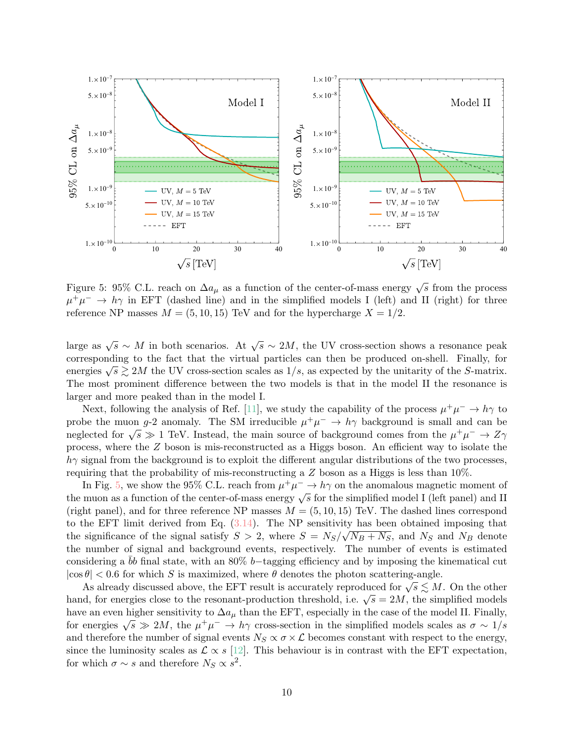<span id="page-9-0"></span>

Figure 5: 95% C.L. reach on  $\Delta a_{\mu}$  as a function of the center-of-mass energy  $\sqrt{s}$  from the process  $\mu^+\mu^ \rightarrow h\gamma$  in EFT (dashed line) and in the simplified models I (left) and II (right) for three reference NP masses  $M = (5, 10, 15)$  TeV and for the hypercharge  $X = 1/2$ .

large as  $\sqrt{s} \sim M$  in both scenarios. At  $\sqrt{s} \sim 2M$ , the UV cross-section shows a resonance peak corresponding to the fact that the virtual particles can then be produced on-shell. Finally, for energies  $\sqrt{s} \gtrsim 2M$  the UV cross-section scales as  $1/s$ , as expected by the unitarity of the S-matrix. The most prominent difference between the two models is that in the model II the resonance is larger and more peaked than in the model I.

Next, following the analysis of Ref. [\[11\]](#page-18-3), we study the capability of the process  $\mu^+\mu^- \to h\gamma$  to probe the muon g-2 anomaly. The SM irreducible  $\mu^+\mu^- \to h\gamma$  background is small and can be probe the muon g-z anomary. The sixt inequation  $\mu$   $\mu$   $\rightarrow$   $n_f$  background is small and can be neglected for  $\sqrt{s} \gg 1$  TeV. Instead, the main source of background comes from the  $\mu^+ \mu^- \rightarrow Z \gamma$ process, where the Z boson is mis-reconstructed as a Higgs boson. An efficient way to isolate the  $h\gamma$  signal from the background is to exploit the different angular distributions of the two processes, requiring that the probability of mis-reconstructing a Z boson as a Higgs is less than 10%.

In Fig. [5,](#page-9-0) we show the 95% C.L. reach from  $\mu^+\mu^- \to h\gamma$  on the anomalous magnetic moment of the muon as a function of the center-of-mass energy  $\sqrt{s}$  for the simplified model I (left panel) and II the muon as a function of the center-of-mass energy  $\sqrt{s}$  for the simplified model I (left panel) and II (right panel), and for three reference NP masses  $M = (5, 10, 15)$  TeV. The dashed lines correspond to the EFT limit derived from Eq.  $(3.14)$ . The NP sensitivity has been obtained imposing that the significance of the signal satisfy  $S > 2$ , where  $S = N_S/\sqrt{N_B + N_S}$ , and  $N_S$  and  $N_B$  denote the number of signal and background events, respectively. The number of events is estimated considering a bb final state, with an 80% b−tagging efficiency and by imposing the kinematical cut  $|\cos \theta|$  < 0.6 for which S is maximized, where  $\theta$  denotes the photon scattering-angle.

 $\vert v \vert$   $\leq$  0.0 for which 3 is maximized, where v denotes the photon scattering-angle.<br>As already discussed above, the EFT result is accurately reproduced for  $\sqrt{s} \leq M$ . On the other As already discussed above, the EFT result is accurately reproduced for  $\sqrt{s} \gtrsim M$ . On the other hand, for energies close to the resonant-production threshold, i.e.  $\sqrt{s} = 2M$ , the simplified models have an even higher sensitivity to  $\Delta a_{\mu}$  than the EFT, especially in the case of the model II. Finally, for energies  $\sqrt{s} \gg 2M$ , the  $\mu^+\mu^- \to h\gamma$  cross-section in the simplified models scales as  $\sigma \sim 1/s$ and therefore the number of signal events  $N_S \propto \sigma \times \mathcal{L}$  becomes constant with respect to the energy, since the luminosity scales as  $\mathcal{L} \propto s$  [\[12\]](#page-18-4). This behaviour is in contrast with the EFT expectation, for which  $\sigma \sim s$  and therefore  $N_S \propto s^2$ .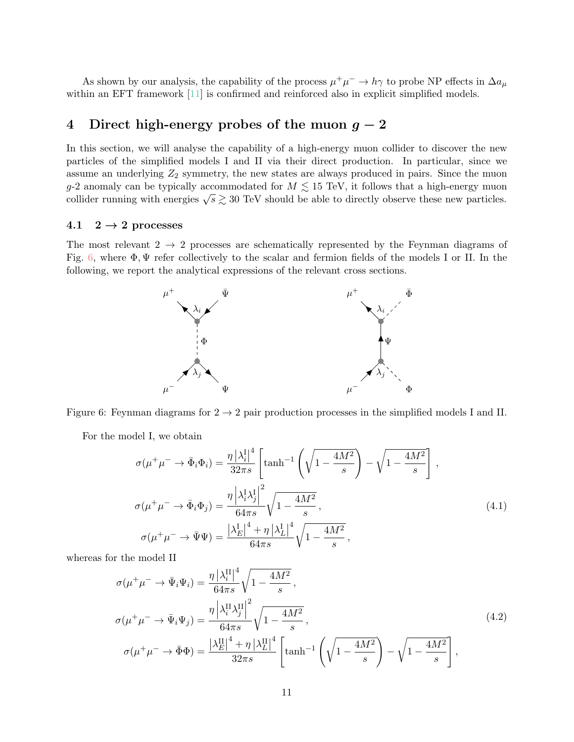As shown by our analysis, the capability of the process  $\mu^+\mu^- \to h\gamma$  to probe NP effects in  $\Delta a_\mu$ within an EFT framework [\[11\]](#page-18-3) is confirmed and reinforced also in explicit simplified models.

# <span id="page-10-3"></span>4 Direct high-energy probes of the muon  $g - 2$

In this section, we will analyse the capability of a high-energy muon collider to discover the new particles of the simplified models I and II via their direct production. In particular, since we assume an underlying  $Z_2$  symmetry, the new states are always produced in pairs. Since the muon g-2 anomaly can be typically accommodated for  $M \lesssim 15$  TeV, it follows that a high-energy muon g-2 anomary can be typically accommodated for  $M \gtrsim 15$  TeV, it follows that a high-energy muon collider running with energies  $\sqrt{s} \gtrsim 30$  TeV should be able to directly observe these new particles.

### 4.1  $2 \rightarrow 2$  processes

<span id="page-10-0"></span>The most relevant  $2 \rightarrow 2$  processes are schematically represented by the Feynman diagrams of Fig. [6,](#page-10-0) where  $\Phi, \Psi$  refer collectively to the scalar and fermion fields of the models I or II. In the following, we report the analytical expressions of the relevant cross sections.



Figure 6: Feynman diagrams for  $2 \rightarrow 2$  pair production processes in the simplified models I and II.

For the model I, we obtain

<span id="page-10-1"></span>
$$
\sigma(\mu^+\mu^- \to \bar{\Phi}_i\Phi_i) = \frac{\eta \left|\lambda_i^{\text{I}}\right|^4}{32\pi s} \left[ \tanh^{-1}\left(\sqrt{1 - \frac{4M^2}{s}}\right) - \sqrt{1 - \frac{4M^2}{s}}\right],
$$
  

$$
\sigma(\mu^+\mu^- \to \bar{\Phi}_i\Phi_j) = \frac{\eta \left|\lambda_i^{\text{I}}\lambda_j^{\text{I}}\right|^2}{64\pi s} \sqrt{1 - \frac{4M^2}{s}},
$$
  

$$
\sigma(\mu^+\mu^- \to \bar{\Psi}\Psi) = \frac{\left|\lambda_E^{\text{I}}\right|^4 + \eta \left|\lambda_L^{\text{I}}\right|^4}{64\pi s} \sqrt{1 - \frac{4M^2}{s}},
$$
 (4.1)

whereas for the model II

<span id="page-10-2"></span>
$$
\sigma(\mu^+\mu^- \to \bar{\Psi}_i\Psi_i) = \frac{\eta \left|\lambda_i^{\text{II}}\right|^4}{64\pi s} \sqrt{1 - \frac{4M^2}{s}},
$$
\n
$$
\sigma(\mu^+\mu^- \to \bar{\Psi}_i\Psi_j) = \frac{\eta \left|\lambda_i^{\text{II}}\lambda_j^{\text{II}}\right|^2}{64\pi s} \sqrt{1 - \frac{4M^2}{s}},
$$
\n
$$
\sigma(\mu^+\mu^- \to \bar{\Phi}\Phi) = \frac{\left|\lambda_E^{\text{II}}\right|^4 + \eta \left|\lambda_L^{\text{II}}\right|^4}{32\pi s} \left[\tanh^{-1}\left(\sqrt{1 - \frac{4M^2}{s}}\right) - \sqrt{1 - \frac{4M^2}{s}}\right],
$$
\n(4.2)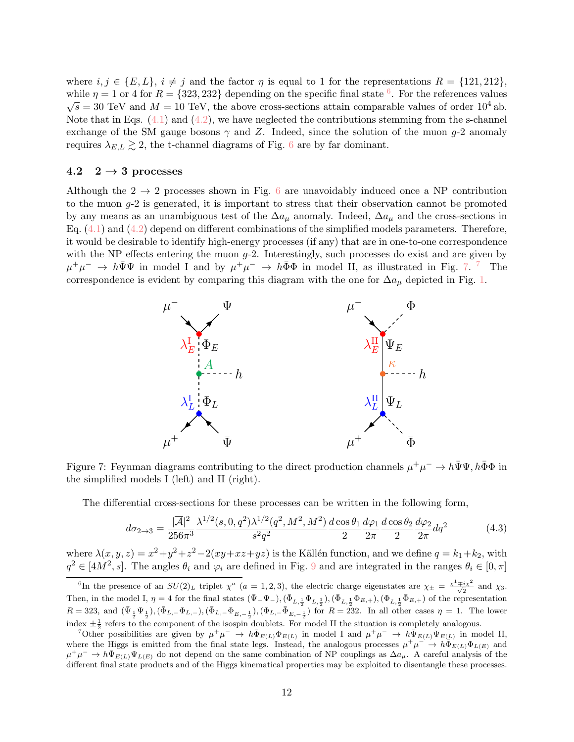where  $i, j \in \{E, L\}, i \neq j$  and the factor  $\eta$  is equal to 1 for the representations  $R = \{121, 212\},\$ while  $\eta = 1$  or 4 for  $R = \{323, 232\}$  depending on the specific final state <sup>[6](#page-11-0)</sup>. For the references values  $\sqrt{s} = 30$  TeV and  $M = 10$  TeV, the above cross-sections attain comparable values of order  $10^4$  ab. Note that in Eqs.  $(4.1)$  and  $(4.2)$ , we have neglected the contributions stemming from the s-channel exchange of the SM gauge bosons  $\gamma$  and Z. Indeed, since the solution of the muon g-2 anomaly requires  $\lambda_{E,L} \gtrsim 2$ , the t-channel diagrams of Fig. [6](#page-10-0) are by far dominant.

### 4.2  $2 \rightarrow 3$  processes

Although the  $2 \rightarrow 2$  processes shown in Fig. [6](#page-10-0) are unavoidably induced once a NP contribution to the muon  $q-2$  is generated, it is important to stress that their observation cannot be promoted by any means as an unambiguous test of the  $\Delta a_{\mu}$  anomaly. Indeed,  $\Delta a_{\mu}$  and the cross-sections in Eq.  $(4.1)$  and  $(4.2)$  depend on different combinations of the simplified models parameters. Therefore, it would be desirable to identify high-energy processes (if any) that are in one-to-one correspondence with the NP effects entering the muon  $g$ -2. Interestingly, such processes do exist and are given by  $\mu^+\mu^ \rightarrow h\bar{\Psi}\Psi$  in model I and by  $\mu^+\mu^ \rightarrow h\bar{\Phi}\Phi$  in model II, as illustrated in Fig. [7.](#page-11-1)<sup>[7](#page-11-2)</sup> The correspondence is evident by comparing this diagram with the one for  $\Delta a_{\mu}$  depicted in Fig. [1.](#page-3-0)

<span id="page-11-1"></span>

Figure 7: Feynman diagrams contributing to the direct production channels  $\mu^+\mu^- \to h\bar{\Psi}\Psi, h\bar{\Phi}\Phi$  in the simplified models I (left) and II (right).

The differential cross-sections for these processes can be written in the following form,

$$
d\sigma_{2\to 3} = \frac{|\overline{\mathcal{A}}|^2}{256\pi^3} \frac{\lambda^{1/2}(s,0,q^2)\lambda^{1/2}(q^2,M^2,M^2)}{s^2q^2} \frac{d\cos\theta_1}{2} \frac{d\varphi_1}{2\pi} \frac{d\cos\theta_2}{2} \frac{d\varphi_2}{2\pi} dq^2 \tag{4.3}
$$

where  $\lambda(x, y, z) = x^2 + y^2 + z^2 - 2(xy + xz + yz)$  is the Källén function, and we define  $q = k_1 + k_2$ , with  $q^2 \in [4M^2, s]$ . The angles  $\theta_i$  and  $\varphi_i$  are defined in Fig. [9](#page-17-5) and are integrated in the ranges  $\theta_i \in [0, \pi]$ 

<span id="page-11-0"></span><sup>&</sup>lt;sup>6</sup>In the presence of an  $SU(2)_L$  triplet  $\chi^a$  (a = 1, 2, 3), the electric charge eigenstates are  $\chi_{\pm} = \frac{\chi^1 \mp i \chi^2}{\sqrt{2}}$  and  $\chi_3$ . Then, in the model I,  $\eta = 4$  for the final states  $(\bar{\Psi}_-\Psi_-), (\bar{\Phi}_{L,\frac{1}{2}}\Phi_{L,\frac{1}{2}}), (\bar{\Phi}_{L,\frac{1}{2}}\Phi_{E,+}), (\Phi_{L,\frac{1}{2}}\bar{\Phi}_{E,+})$  of the representation  $R = 323$ , and  $(\bar{\Psi}_{\frac{1}{2}} \Psi_{\frac{1}{2}}), (\bar{\Phi}_{L,-} \Phi_{L,-}), (\bar{\Phi}_{L,-} \Phi_{E,-\frac{1}{2}}), (\Phi_{L,-} \bar{\Phi}_{E,-\frac{1}{2}})$  for  $R = 232$ . In all other cases  $\eta = 1$ . The lower index  $\pm \frac{1}{2}$  refers to the component of the isospin doublets. For model II the situation is completely analogous.

<span id="page-11-2"></span><sup>&</sup>lt;sup>7</sup>Other possibilities are given by  $\mu^+\mu^- \to h\bar{\Phi}_{E(L)}\Phi_{E(L)}$  in model I and  $\mu^+\mu^- \to h\bar{\Psi}_{E(L)}\Psi_{E(L)}$  in model II, where the Higgs is emitted from the final state legs. Instead, the analogous processes  $\mu^+\mu^- \to h\bar{\Phi}_{E(L)}\Phi_{L(E)}$  and  $\mu^+\mu^- \to h\bar{\Psi}_{E(L)}\Psi_{L(E)}$  do not depend on the same combination of NP couplings as  $\Delta a_\mu$ . A careful analysis of the different final state products and of the Higgs kinematical properties may be exploited to disentangle these processes.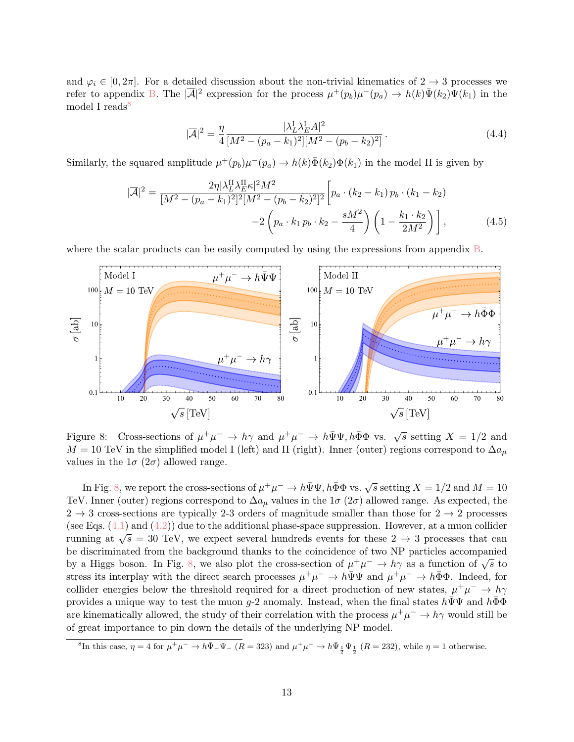and  $\varphi_i \in [0, 2\pi]$ . For a detailed discussion about the non-trivial kinematics of  $2 \to 3$  processes we refer to appendix [B.](#page-16-0) The  $|\overline{A}|^2$  expression for the process  $\mu^+(p_b)\mu^-(p_a) \to h(k)\overline{\Psi}(k_2)\Psi(k_1)$  in the model I reads<sup> $\theta$ </sup>

<span id="page-12-3"></span><span id="page-12-2"></span>
$$
|\overline{\mathcal{A}}|^2 = \frac{\eta}{4} \frac{|\lambda_L^{\text{I}} \lambda_E^{\text{I}} A|^2}{[M^2 - (p_a - k_1)^2][M^2 - (p_b - k_2)^2]}.
$$
\n(4.4)

Similarly, the squared amplitude  $\mu^+(p_b)\mu^-(p_a) \to h(k)\overline{\Phi}(k_2)\Phi(k_1)$  in the model II is given by

$$
|\overline{\mathcal{A}}|^2 = \frac{2\eta |\lambda_L^{\text{II}} \lambda_E^{\text{II}} \kappa|^2 M^2}{[M^2 - (p_a - k_1)^2]^2 [M^2 - (p_b - k_2)^2]^2} \left[ p_a \cdot (k_2 - k_1) p_b \cdot (k_1 - k_2) - 2 \left( p_a \cdot k_1 p_b \cdot k_2 - \frac{sM^2}{4} \right) \left( 1 - \frac{k_1 \cdot k_2}{2M^2} \right) \right],\tag{4.5}
$$

where the scalar products can be easily computed by using the expressions from appendix [B.](#page-16-0)

<span id="page-12-1"></span>

Figure 8: Cross-sections of  $\mu^+\mu^- \to h\gamma$  and  $\mu^+\mu^- \to h\bar{\Psi}\Psi$ ,  $h\bar{\Phi}\Phi$  vs.  $\sqrt{s}$  setting  $X = 1/2$  and  $M = 10$  TeV in the simplified model I (left) and II (right). Inner (outer) regions correspond to  $\Delta a_{\mu}$ values in the  $1\sigma$  ( $2\sigma$ ) allowed range.

In Fig. [8,](#page-12-1) we report the cross-sections of  $\mu^+\mu^- \to h\bar\Psi\Psi, h\bar\Phi\Phi$  vs.  $\sqrt{s}$  setting  $X=1/2$  and  $M=10$ TeV. Inner (outer) regions correspond to  $\Delta a_{\mu}$  values in the 1 $\sigma$  (2 $\sigma$ ) allowed range. As expected, the  $2 \rightarrow 3$  cross-sections are typically 2-3 orders of magnitude smaller than those for  $2 \rightarrow 2$  processes (see Eqs.  $(4.1)$  and  $(4.2)$ ) due to the additional phase-space suppression. However, at a muon collider running at  $\sqrt{s} = 30$  TeV, we expect several hundreds events for these  $2 \rightarrow 3$  processes that can be discriminated from the background thanks to the coincidence of two NP particles accompanied be distribution of the background thanks to the concidence of two NP particles accompanied<br>by a Higgs boson. In Fig. [8,](#page-12-1) we also plot the cross-section of  $\mu^+\mu^- \to h\gamma$  as a function of  $\sqrt{s}$  to stress its interplay with the direct search processes  $\mu^+\mu^- \to h\bar{\Psi}\Psi$  and  $\mu^+\mu^- \to h\bar{\Phi}\Phi$ . Indeed, for collider energies below the threshold required for a direct production of new states,  $\mu^+\mu^- \to h\gamma$ provides a unique way to test the muon g-2 anomaly. Instead, when the final states  $h\bar{\Psi}\Psi$  and  $h\bar{\Phi}\Phi$ are kinematically allowed, the study of their correlation with the process  $\mu^+\mu^- \to h\gamma$  would still be of great importance to pin down the details of the underlying NP model.

<span id="page-12-0"></span><sup>&</sup>lt;sup>8</sup>In this case,  $\eta = 4$  for  $\mu^+ \mu^- \to h\bar{\Psi}_- \Psi_-$  ( $R = 323$ ) and  $\mu^+ \mu^- \to h\bar{\Psi}_\frac{1}{2} \Psi_\frac{1}{2}$  ( $R = 232$ ), while  $\eta = 1$  otherwise.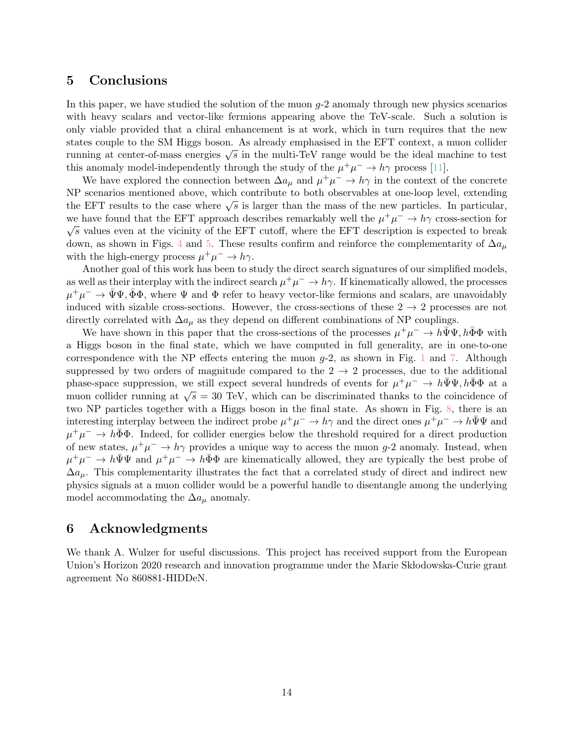## 5 Conclusions

In this paper, we have studied the solution of the muon  $g$ -2 anomaly through new physics scenarios with heavy scalars and vector-like fermions appearing above the TeV-scale. Such a solution is only viable provided that a chiral enhancement is at work, which in turn requires that the new states couple to the SM Higgs boson. As already emphasised in the EFT context, a muon collider states couple to the SM Higgs boson. As already emphasised in the EFT collect, a muon conder<br>running at center-of-mass energies  $\sqrt{s}$  in the multi-TeV range would be the ideal machine to test this anomaly model-independently through the study of the  $\mu^+\mu^- \to h\gamma$  process [\[11\]](#page-18-3).

We have explored the connection between  $\Delta a_{\mu}$  and  $\mu^+\mu^- \to h\gamma$  in the context of the concrete NP scenarios mentioned above, which contribute to both observables at one-loop level, extending the EFT results to the case where  $\sqrt{s}$  is larger than the mass of the new particles. In particular, we have found that the EFT approach describes remarkably well the  $\mu^+ \mu^- \to h\gamma$  cross-section for  $\sqrt{s}$  values even at the vicinity of the EFT cutoff, where the EFT description is expected to break down, as shown in Figs. [4](#page-8-2) and [5.](#page-9-0) These results confirm and reinforce the complementarity of  $\Delta a_{\mu}$ with the high-energy process  $\mu^+ \mu^- \to h \gamma$ .

Another goal of this work has been to study the direct search signatures of our simplified models, as well as their interplay with the indirect search  $\mu^+\mu^- \to h\gamma$ . If kinematically allowed, the processes  $\mu^+\mu^- \to \bar{\Psi}\Psi$ ,  $\bar{\Phi}\Phi$ , where  $\Psi$  and  $\Phi$  refer to heavy vector-like fermions and scalars, are unavoidably induced with sizable cross-sections. However, the cross-sections of these  $2 \rightarrow 2$  processes are not directly correlated with  $\Delta a_{\mu}$  as they depend on different combinations of NP couplings.

We have shown in this paper that the cross-sections of the processes  $\mu^+\mu^- \to h\bar{\Psi}\Psi, h\bar{\Phi}\Phi$  with a Higgs boson in the final state, which we have computed in full generality, are in one-to-one correspondence with the NP effects entering the muon  $g$ -2, as shown in Fig. [1](#page-3-0) and [7.](#page-11-1) Although suppressed by two orders of magnitude compared to the  $2 \rightarrow 2$  processes, due to the additional phase-space suppression, we still expect several hundreds of events for  $\mu^+\mu^- \to h\bar{\Psi}\Psi, h\bar{\Phi}\Phi$  at a phase-space suppression, we still expect several numeries of events for  $\mu^+ \mu^- \rightarrow \mu \Psi \Psi$ ,  $\mu \Psi \Psi$  at a muon collider running at  $\sqrt{s} = 30$  TeV, which can be discriminated thanks to the coincidence of two NP particles together with a Higgs boson in the final state. As shown in Fig. [8,](#page-12-1) there is an interesting interplay between the indirect probe  $\mu^+\mu^- \to h\gamma$  and the direct ones  $\mu^+\mu^- \to h\bar{\Psi}\Psi$  and  $\mu^+\mu^- \to h\bar{\Phi}\Phi$ . Indeed, for collider energies below the threshold required for a direct production of new states,  $\mu^+\mu^- \to h\gamma$  provides a unique way to access the muon g-2 anomaly. Instead, when  $\mu^+\mu^- \to h\bar{\Psi}\Psi$  and  $\mu^+\mu^- \to h\bar{\Phi}\Phi$  are kinematically allowed, they are typically the best probe of  $\Delta a_{\mu}$ . This complementarity illustrates the fact that a correlated study of direct and indirect new physics signals at a muon collider would be a powerful handle to disentangle among the underlying model accommodating the  $\Delta a_\mu$  anomaly.

### 6 Acknowledgments

We thank A. Wulzer for useful discussions. This project has received support from the European Union's Horizon 2020 research and innovation programme under the Marie Skłodowska-Curie grant agreement No 860881-HIDDeN.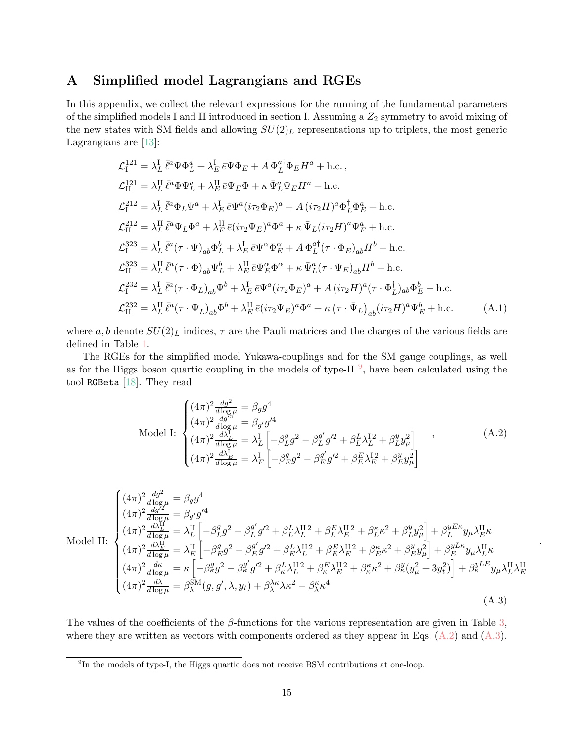# <span id="page-14-0"></span>A Simplified model Lagrangians and RGEs

In this appendix, we collect the relevant expressions for the running of the fundamental parameters of the simplified models I and II introduced in section I. Assuming a  $Z_2$  symmetry to avoid mixing of the new states with SM fields and allowing  $SU(2)_L$  representations up to triplets, the most generic Lagrangians are [\[13\]](#page-18-5):

$$
\mathcal{L}_{I}^{121} = \lambda_L^I \bar{\ell}^a \Psi \Phi_L^a + \lambda_E^I \bar{\epsilon} \Psi \Phi_E + A \Phi_L^{a\dagger} \Phi_E H^a + \text{h.c.},
$$
  
\n
$$
\mathcal{L}_{II}^{121} = \lambda_L^{II} \bar{\ell}^a \Phi \Psi_L^a + \lambda_E^{II} \bar{\epsilon} \Psi_E \Phi + \kappa \bar{\Psi}_L^a \Psi_E H^a + \text{h.c.}
$$
  
\n
$$
\mathcal{L}_{I}^{212} = \lambda_L^I \bar{\ell}^a \Phi_L \Psi^a + \lambda_E^I \bar{\epsilon} \Psi^a (i\tau_2 \Phi_E)^a + A (i\tau_2 H)^a \Phi_L^\dagger \Phi_E^a + \text{h.c.}
$$
  
\n
$$
\mathcal{L}_{II}^{212} = \lambda_L^{II} \bar{\ell}^a \Psi_L \Phi^a + \lambda_E^{II} \bar{\epsilon} (i\tau_2 \Psi_E)^a \Phi^a + \kappa \bar{\Psi}_L (i\tau_2 H)^a \Psi_E^a + \text{h.c.}
$$
  
\n
$$
\mathcal{L}_{I}^{323} = \lambda_L^I \bar{\ell}^a (\tau \cdot \Psi)_{ab} \Phi_L^b + \lambda_E^I \bar{\epsilon} \Psi^\alpha \Phi_E^\alpha + A \Phi_L^{a\dagger} (\tau \cdot \Phi_E)_{ab} H^b + \text{h.c.}
$$
  
\n
$$
\mathcal{L}_{II}^{323} = \lambda_L^{II} \bar{\ell}^a (\tau \cdot \Phi)_{ab} \Psi_L^b + \lambda_E^{\text{II}} \bar{\epsilon} \Psi_E^\alpha \Phi^\alpha + \kappa \bar{\Psi}_L^a (\tau \cdot \Psi_E)_{ab} H^b + \text{h.c.}
$$
  
\n
$$
\mathcal{L}_{II}^{232} = \lambda_L^I \bar{\ell}^a (\tau \cdot \Phi_L)_{ab} \Psi^b + \lambda_E^I \bar{\epsilon} \Psi^a (\bar{\ell} \tau_2 \Phi_E)^a + A (i\tau_2 H)^a (\tau \cdot \Phi_L^\dagger)_{ab} \Phi_E^b + \text{h.c.}
$$
  
\n
$$
\mathcal{L}_{II}^{232} = \lambda_L^{II} \bar{\ell}^a (\tau \cdot \Psi_L)_{ab} \Phi^b + \lambda_E^{\text{II}} \bar{\epsilon
$$

where a, b denote  $SU(2)_L$  indices,  $\tau$  are the Pauli matrices and the charges of the various fields are defined in Table [1.](#page-2-0)

The RGEs for the simplified model Yukawa-couplings and for the SM gauge couplings, as well as for the Higgs boson quartic coupling in the models of type-II $\frac{9}{7}$  $\frac{9}{7}$  $\frac{9}{7}$ , have been calculated using the tool RGBeta [\[18\]](#page-18-14). They read

$$
\text{Model I:} \begin{cases} (4\pi)^2 \frac{dg^2}{d \log \mu} = \beta_g g^4\\ (4\pi)^2 \frac{dg'^2}{d \log \mu} = \beta_{g'} g'^4\\ (4\pi)^2 \frac{d\lambda_L}{d \log \mu} = \lambda_L^1 \left[ -\beta_L^g g^2 - \beta_L^{g'} g'^2 + \beta_L^L \lambda_L^{12} + \beta_L^y y_\mu^2 \right] \\ (4\pi)^2 \frac{d\lambda_L^L}{d \log \mu} = \lambda_L^I \left[ -\beta_L^g g^2 - \beta_L^{g'} g'^2 + \beta_E^L \lambda_L^{12} + \beta_L^y y_\mu^2 \right] \end{cases} , \tag{A.2}
$$

<span id="page-14-3"></span><span id="page-14-2"></span>.

$$
\text{Model II:} \begin{cases} (4\pi)^{2} \frac{dg^{2}}{d\log\mu} = \beta_{g}g^{4} \\ (4\pi)^{2} \frac{d\bar{g}^{12}}{d\log\mu} = \beta_{g'}g'^{4} \\ (4\pi)^{2} \frac{d\lambda_{L}^{H}}{d\log\mu} = \lambda_{L}^{H} \left[ -\beta_{L}^{g}g^{2} - \beta_{L}^{g'}g'^{2} + \beta_{L}^{L}\lambda_{L}^{H}^{2} + \beta_{L}^{E}\lambda_{E}^{H}^{2} + \beta_{L}^{s}\kappa^{2} + \beta_{L}^{y}y_{\mu}^{2} \right] + \beta_{L}^{y}E\kappa y_{\mu}\lambda_{L}^{H}\kappa \\ (4\pi)^{2} \frac{d\lambda_{L}^{H}}{d\log\mu} = \lambda_{L}^{H} \left[ -\beta_{L}^{g}g^{2} - \beta_{L}^{g'}g'^{2} + \beta_{L}^{L}\lambda_{L}^{H}^{2} + \beta_{E}^{E}\lambda_{L}^{H}^{2} + \beta_{E}^{\kappa}\kappa^{2} + \beta_{L}^{y}y_{\mu}^{2} \right] + \beta_{L}^{y}E\kappa y_{\mu}\lambda_{L}^{H}\kappa \\ (4\pi)^{2} \frac{d\kappa}{d\log\mu} = \kappa \left[ -\beta_{K}^{g}g^{2} - \beta_{K}^{g'}g'^{2} + \beta_{K}^{L}\lambda_{L}^{H}^{2} + \beta_{K}^{E}\lambda_{E}^{H}^{2} + \beta_{K}^{\kappa}\kappa^{2} + \beta_{K}^{y}(y_{\mu}^{2} + 3y_{t}^{2}) \right] + \beta_{K}^{y}E\kappa y_{\mu}\lambda_{L}^{H}\lambda_{E}^{H} \\ (4\pi)^{2} \frac{d\lambda}{d\log\mu} = \beta_{\lambda}^{SM}(g, g', \lambda, y_{t}) + \beta_{\lambda}^{\lambda\kappa}\lambda\kappa^{2} - \beta_{\lambda}^{\kappa}\kappa^{4} \end{cases} \tag{A.3}
$$

The values of the coefficients of the  $\beta$ -functions for the various representation are given in Table [3,](#page-15-0) where they are written as vectors with components ordered as they appear in Eqs.  $(A.2)$  and  $(A.3)$ .

<span id="page-14-1"></span><sup>&</sup>lt;sup>9</sup>In the models of type-I, the Higgs quartic does not receive BSM contributions at one-loop.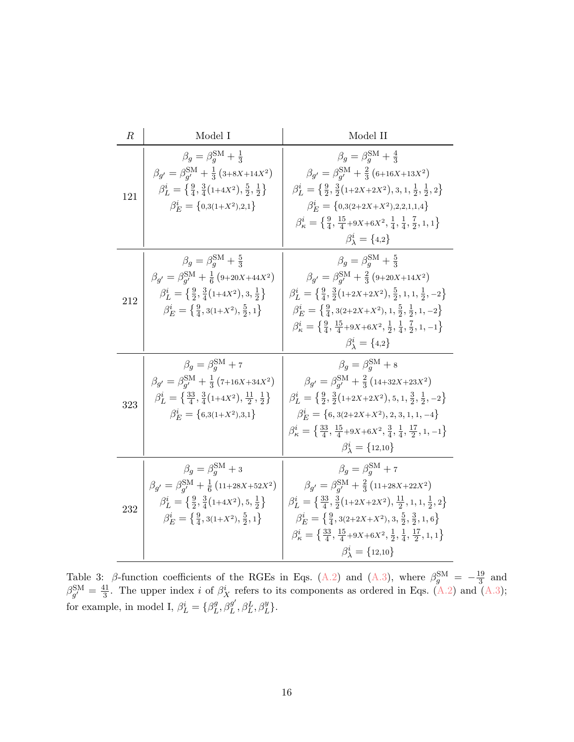<span id="page-15-0"></span>

| $\boldsymbol{R}$ | Model I                                                                                                                                                                                                                                                                        | Model II                                                                                                                                                                                                                                                                                                                                                                                                                                                                                    |
|------------------|--------------------------------------------------------------------------------------------------------------------------------------------------------------------------------------------------------------------------------------------------------------------------------|---------------------------------------------------------------------------------------------------------------------------------------------------------------------------------------------------------------------------------------------------------------------------------------------------------------------------------------------------------------------------------------------------------------------------------------------------------------------------------------------|
| 121              | $\beta_q = \beta_q^{\rm SM} + \frac{1}{3}$<br>$\beta_{g'} = \beta_{g'}^{\text{SM}} + \frac{1}{3} (3 + 8X + 14X^2)$<br>$\beta_L^i = \left\{ \frac{9}{4}, \frac{3}{4}(1+4X^2), \frac{5}{2}, \frac{1}{2} \right\}$<br>$\beta_E^i = \{0,3(1+X^2),2,1\}$                            | $\beta_q = \beta_q^{\rm SM} + \frac{4}{3}$<br>$\beta_{g'} = \beta_{g'}^{\text{SM}} + \frac{2}{3} (6 + 16X + 13X^2)$<br>$\beta_L^i = \left\{ \frac{9}{2}, \frac{3}{2} (1 + 2X + 2X^2), 3, 1, \frac{1}{2}, \frac{1}{2}, 2 \right\}$<br>$\beta_F^i = \{0,3(2+2X+X^2),2,2,1,1,4\}$<br>$\beta_{\kappa}^{i} = \left\{ \frac{9}{4}, \frac{15}{4} + 9X + 6X^{2}, \frac{1}{4}, \frac{1}{4}, \frac{7}{2}, 1, 1 \right\}$<br>$\beta_1^i = \{4,2\}$                                                     |
| 212              | $\beta_q = \beta_q^{\rm SM} + \frac{5}{3}$<br>$\beta_{g'} = \beta_{g'}^{\text{SM}} + \frac{1}{6} (9 + 20X + 44X^2)$<br>$\beta_L^i = \left\{ \frac{9}{2}, \frac{3}{4}(1+4X^2), 3, \frac{1}{2} \right\}$<br>$\beta_E^i = \left\{ \frac{9}{4}, 3(1+X^2), \frac{5}{2}, 1 \right\}$ | $\beta_q = \beta_q^{\rm SM} + \frac{5}{3}$<br>$\beta_{g'} = \beta_{g'}^{\text{SM}} + \frac{2}{3} (9 + 20X + 14X^2)$<br>$\beta_L^i = \left\{ \frac{9}{4}, \frac{3}{2} (1 + 2X + 2X^2), \frac{5}{2}, 1, 1, \frac{1}{2}, -2 \right\}$<br>$\beta_E^i = \left\{ \frac{9}{4}, 3(2+2X+X^2), 1, \frac{5}{2}, \frac{1}{2}, 1, -2 \right\}$<br>$\beta_{\kappa}^{i} = \left\{ \frac{9}{4}, \frac{15}{4} + 9X + 6X^{2}, \frac{1}{2}, \frac{1}{4}, \frac{7}{2}, 1, -1 \right\}$<br>$\beta_1^i = \{4,2\}$ |
| 323              | $\beta_q = \beta_q^{\rm SM} + 7$<br>$\beta_{g'} = \beta_{g'}^{\rm SM} + \frac{1}{3} (7 + 16X + 34X^2)$<br>$\beta_L^i = \left\{ \frac{33}{4}, \frac{3}{4}(1+4X^2), \frac{11}{2}, \frac{1}{2} \right\}$<br>$\beta_F^i = \{6,3(1+X^2),3,1\}$                                      | $\beta_q = \beta_q^{\rm SM} + 8$<br>$\beta_{g'} = \beta_{g'}^{\text{SM}} + \frac{2}{3} (14 + 32X + 23X^2)$<br>$\beta_L^i = \left\{ \frac{9}{2}, \frac{3}{2} (1 + 2X + 2X^2), 5, 1, \frac{3}{2}, \frac{1}{2}, -2 \right\}$<br>$\beta_F^i = \{6, 3(2+2X+X^2), 2, 3, 1, 1, -4\}$<br>$\beta_{\kappa}^{i} = \left\{ \frac{33}{4}, \frac{15}{4} + 9X + 6X^{2}, \frac{3}{4}, \frac{1}{4}, \frac{17}{2}, 1, -1 \right\}$<br>$\beta_{\lambda}^{i} = \{12,10\}$                                       |
| 232              | $\beta_g = \beta_q^{\rm SM} + 3$<br>$\beta_{g'} = \beta_{g'}^{\text{SM}} + \frac{1}{6} (11 + 28X + 52X^2)$<br>$\beta_L^i = \left\{ \frac{9}{2}, \frac{3}{4}(1+4X^2), 5, \frac{1}{2} \right\}$<br>$\beta_E^i = \left\{ \frac{9}{4}, 3(1+X^2), \frac{5}{2}, 1 \right\}$          | $\beta_g = \beta_g^{\rm SM} + 7$<br>$\beta_{g'} = \beta_{g'}^{\text{SM}} + \frac{2}{3} (11 + 28X + 22X^2)$<br>$\beta_L^i = \left\{ \frac{33}{4}, \frac{3}{2}(1+2X+2X^2), \frac{11}{2}, 1, 1, \frac{1}{2}, 2 \right\}$<br>$\beta_E^i = \left\{ \frac{9}{4}, 3(2+2X+X^2), 3, \frac{5}{2}, \frac{3}{2}, 1, 6 \right\}$<br>$\beta_{\kappa}^{i} = \left\{ \frac{33}{4}, \frac{15}{4} + 9X + 6X^{2}, \frac{1}{2}, \frac{1}{4}, \frac{17}{2}, 1, 1 \right\}$<br>$\beta_{\lambda}^{i} = \{12,10\}$  |

Table 3: β-function coefficients of the RGEs in Eqs. [\(A.2\)](#page-14-2) and [\(A.3\)](#page-14-3), where  $\beta_g^{\rm SM} = -\frac{19}{3}$  $rac{19}{3}$  and  $\beta_{g'}^{\rm SM} = \frac{41}{3}$  $\frac{41}{3}$ . The upper index *i* of  $\beta_X^i$  refers to its components as ordered in Eqs. [\(A.2\)](#page-14-2) and [\(A.3\)](#page-14-3); for example, in model I,  $\beta_L^i = \{\beta_L^g\}$  $L^g$ ,  $\beta_L^{g'}$  $_{L}^{g^{\prime }},\beta _{L}^{L},\beta _{L}^{y}\}.$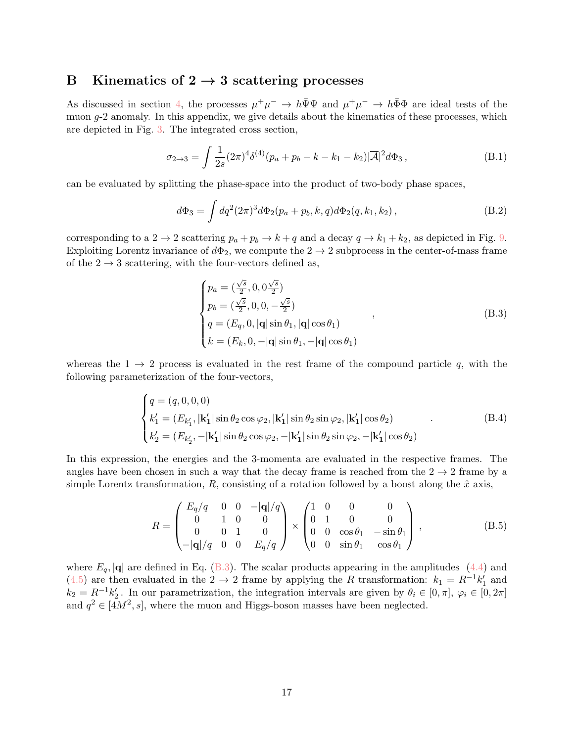# <span id="page-16-0"></span>B Kinematics of  $2 \rightarrow 3$  scattering processes

As discussed in section [4,](#page-10-3) the processes  $\mu^+\mu^- \to h\bar{\Psi}\Psi$  and  $\mu^+\mu^- \to h\bar{\Phi}\Phi$  are ideal tests of the muon g-2 anomaly. In this appendix, we give details about the kinematics of these processes, which are depicted in Fig. [3.](#page-4-1) The integrated cross section,

$$
\sigma_{2\to 3} = \int \frac{1}{2s} (2\pi)^4 \delta^{(4)}(p_a + p_b - k - k_1 - k_2) |\overline{A}|^2 d\Phi_3,
$$
 (B.1)

can be evaluated by splitting the phase-space into the product of two-body phase spaces,

$$
d\Phi_3 = \int dq^2 (2\pi)^3 d\Phi_2(p_a + p_b, k, q) d\Phi_2(q, k_1, k_2),
$$
\n(B.2)

corresponding to a 2  $\rightarrow$  2 scattering  $p_a + p_b \rightarrow k + q$  and a decay  $q \rightarrow k_1 + k_2$ , as depicted in Fig. [9.](#page-17-5) Exploiting Lorentz invariance of  $d\Phi_2$ , we compute the  $2 \to 2$  subprocess in the center-of-mass frame of the  $2 \rightarrow 3$  scattering, with the four-vectors defined as,

<span id="page-16-1"></span>
$$
\begin{cases}\n p_a = (\frac{\sqrt{s}}{2}, 0, 0\frac{\sqrt{s}}{2}) \\
 p_b = (\frac{\sqrt{s}}{2}, 0, 0, -\frac{\sqrt{s}}{2}) \\
 q = (E_q, 0, |\mathbf{q}| \sin \theta_1, |\mathbf{q}| \cos \theta_1) \\
 k = (E_k, 0, -|\mathbf{q}| \sin \theta_1, -|\mathbf{q}| \cos \theta_1)\n\end{cases} (B.3)
$$

whereas the  $1 \rightarrow 2$  process is evaluated in the rest frame of the compound particle q, with the following parameterization of the four-vectors,

$$
\begin{cases}\nq = (q, 0, 0, 0) \\
k'_1 = (E_{k'_1}, |\mathbf{k'_1}| \sin \theta_2 \cos \varphi_2, |\mathbf{k'_1}| \sin \theta_2 \sin \varphi_2, |\mathbf{k'_1}| \cos \theta_2) \\
k'_2 = (E_{k'_2}, -|\mathbf{k'_1}| \sin \theta_2 \cos \varphi_2, -|\mathbf{k'_1}| \sin \theta_2 \sin \varphi_2, -|\mathbf{k'_1}| \cos \theta_2)\n\end{cases} (B.4)
$$

In this expression, the energies and the 3-momenta are evaluated in the respective frames. The angles have been chosen in such a way that the decay frame is reached from the  $2 \rightarrow 2$  frame by a simple Lorentz transformation, R, consisting of a rotation followed by a boost along the  $\hat{x}$  axis,

$$
R = \begin{pmatrix} E_q/q & 0 & 0 & -|\mathbf{q}|/q \\ 0 & 1 & 0 & 0 \\ 0 & 0 & 1 & 0 \\ -|\mathbf{q}|/q & 0 & 0 & E_q/q \end{pmatrix} \times \begin{pmatrix} 1 & 0 & 0 & 0 \\ 0 & 1 & 0 & 0 \\ 0 & 0 & \cos\theta_1 & -\sin\theta_1 \\ 0 & 0 & \sin\theta_1 & \cos\theta_1 \end{pmatrix},
$$
(B.5)

where  $E_q$ , |q| are defined in Eq. [\(B.3\)](#page-16-1). The scalar products appearing in the amplitudes [\(4.4\)](#page-12-2) and [\(4.5\)](#page-12-3) are then evaluated in the 2  $\rightarrow$  2 frame by applying the R transformation:  $k_1 = R^{-1}k'_1$  and  $k_2 = R^{-1}k'_2$ . In our parametrization, the integration intervals are given by  $\theta_i \in [0, \pi]$ ,  $\varphi_i \in [0, 2\pi]$ and  $q^2 \in [4M^2, s]$ , where the muon and Higgs-boson masses have been neglected.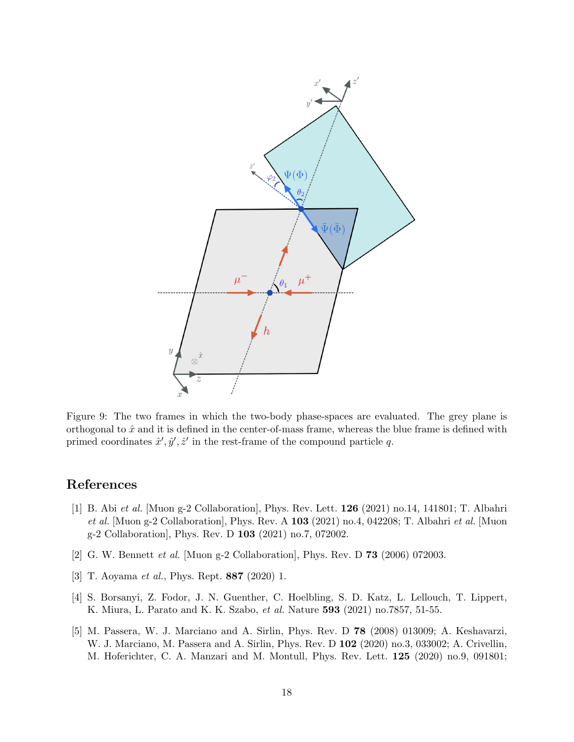<span id="page-17-5"></span>

Figure 9: The two frames in which the two-body phase-spaces are evaluated. The grey plane is orthogonal to  $\hat{x}$  and it is defined in the center-of-mass frame, whereas the blue frame is defined with primed coordinates  $\hat{x}', \hat{y}', \hat{z}'$  in the rest-frame of the compound particle q.

# References

- <span id="page-17-0"></span>[1] B. Abi et al. [Muon g-2 Collaboration], Phys. Rev. Lett. 126 (2021) no.14, 141801; T. Albahri et al. [Muon g-2 Collaboration], Phys. Rev. A  $103$  (2021) no.4, 042208; T. Albahri et al. [Muon g-2 Collaboration], Phys. Rev. D 103 (2021) no.7, 072002.
- <span id="page-17-1"></span>[2] G. W. Bennett et al. [Muon g-2 Collaboration], Phys. Rev. D 73 (2006) 072003.
- <span id="page-17-2"></span>[3] T. Aoyama et al., Phys. Rept. 887 (2020) 1.
- <span id="page-17-3"></span>[4] S. Borsanyi, Z. Fodor, J. N. Guenther, C. Hoelbling, S. D. Katz, L. Lellouch, T. Lippert, K. Miura, L. Parato and K. K. Szabo, et al. Nature 593 (2021) no.7857, 51-55.
- <span id="page-17-4"></span>[5] M. Passera, W. J. Marciano and A. Sirlin, Phys. Rev. D 78 (2008) 013009; A. Keshavarzi, W. J. Marciano, M. Passera and A. Sirlin, Phys. Rev. D 102 (2020) no.3, 033002; A. Crivellin, M. Hoferichter, C. A. Manzari and M. Montull, Phys. Rev. Lett. 125 (2020) no.9, 091801;